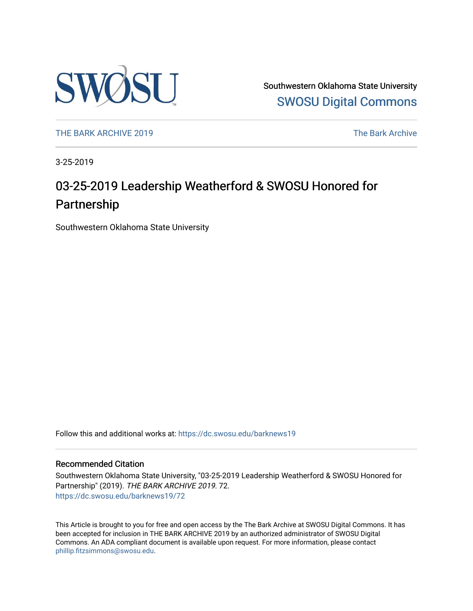

Southwestern Oklahoma State University [SWOSU Digital Commons](https://dc.swosu.edu/) 

[THE BARK ARCHIVE 2019](https://dc.swosu.edu/barknews19) The Bark Archive

3-25-2019

# 03-25-2019 Leadership Weatherford & SWOSU Honored for Partnership

Southwestern Oklahoma State University

Follow this and additional works at: [https://dc.swosu.edu/barknews19](https://dc.swosu.edu/barknews19?utm_source=dc.swosu.edu%2Fbarknews19%2F72&utm_medium=PDF&utm_campaign=PDFCoverPages)

#### Recommended Citation

Southwestern Oklahoma State University, "03-25-2019 Leadership Weatherford & SWOSU Honored for Partnership" (2019). THE BARK ARCHIVE 2019. 72. [https://dc.swosu.edu/barknews19/72](https://dc.swosu.edu/barknews19/72?utm_source=dc.swosu.edu%2Fbarknews19%2F72&utm_medium=PDF&utm_campaign=PDFCoverPages) 

This Article is brought to you for free and open access by the The Bark Archive at SWOSU Digital Commons. It has been accepted for inclusion in THE BARK ARCHIVE 2019 by an authorized administrator of SWOSU Digital Commons. An ADA compliant document is available upon request. For more information, please contact [phillip.fitzsimmons@swosu.edu](mailto:phillip.fitzsimmons@swosu.edu).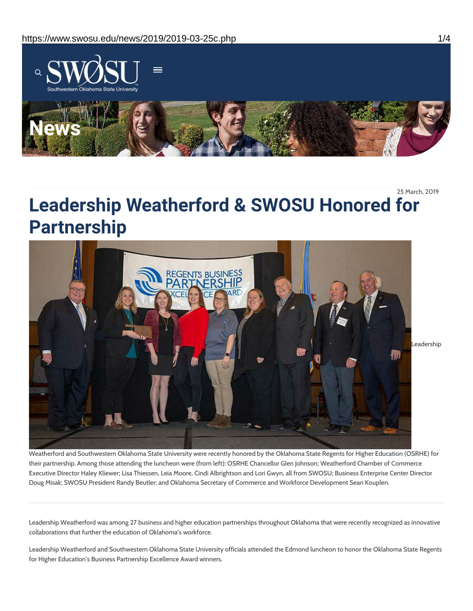

25 March, 2019

# **Leadership Weatherford & SWOSU Honored for Partnership**



Weatherford and Southwestern Oklahoma State University were recently honored by the Oklahoma State Regents for Higher Education (OSRHE) for their partnership. Among those attending the luncheon were (from left): OSRHE Chancellor Glen Johnson; Weatherford Chamber of Commerce Executive Director Haley Kliewer; Lisa Thiessen, Leia Moore, Cindi Albrightson and Lori Gwyn, all from SWOSU; Business Enterprise Center Director Doug Misak; SWOSU President Randy Beutler; and Oklahoma Secretary of Commerce and Workforce Development Sean Kouplen.

Leadership Weatherford was among 27 business and higher education partnerships throughout Oklahoma that were recently recognized as innovative collaborations that further the education of Oklahoma's workforce.

Leadership Weatherford and Southwestern Oklahoma State University officials attended the Edmond luncheon to honor the Oklahoma State Regents for Higher Education's Business Partnership Excellence Award winners.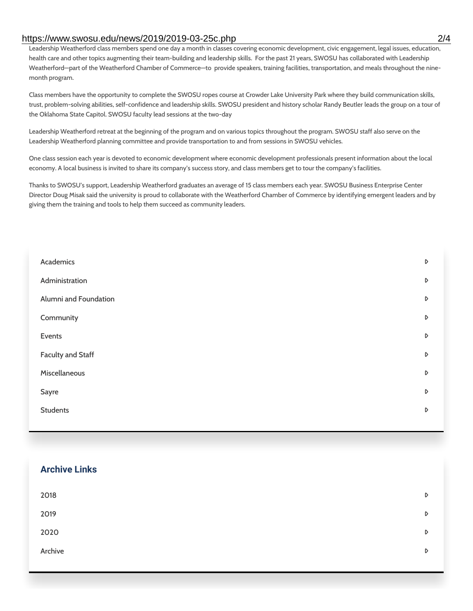#### https://www.swosu.edu/news/2019/2019-03-25c.php 2/4

Leadership Weatherford class members spend one day a month in classes covering economic development, civic engagement, legal issues, education, health care and other topics augmenting their team-building and leadership skills. For the past 21 years, SWOSU has collaborated with Leadership Weatherford—part of the Weatherford Chamber of Commerce—to provide speakers, training facilities, transportation, and meals throughout the ninemonth program.

Class members have the opportunity to complete the SWOSU ropes course at Crowder Lake University Park where they build communication skills, trust, problem-solving abilities, self-confidence and leadership skills. SWOSU president and history scholar Randy Beutler leads the group on a tour of the Oklahoma State Capitol. SWOSU faculty lead sessions at the two-day

Leadership Weatherford retreat at the beginning of the program and on various topics throughout the program. SWOSU staff also serve on the Leadership Weatherford planning committee and provide transportation to and from sessions in SWOSU vehicles.

One class session each year is devoted to economic development where economic development professionals present information about the local economy. A local business is invited to share its company's success story, and class members get to tour the company's facilities.

Thanks to SWOSU's support, Leadership Weatherford graduates an average of 15 class members each year. SWOSU Business Enterprise Center Director Doug Misak said the university is proud to collaborate with the Weatherford Chamber of Commerce by identifying emergent leaders and by giving them the training and tools to help them succeed as community leaders.

| Academics                | D |
|--------------------------|---|
| Administration           | D |
| Alumni and Foundation    | D |
| Community                | D |
| Events                   | D |
| <b>Faculty and Staff</b> | D |
| Miscellaneous            | D |
| Sayre                    | D |
| <b>Students</b>          | D |
|                          |   |

### **Archive Links**

| 2018    | D                |
|---------|------------------|
| 2019    | $\triangleright$ |
| 2020    | $\triangleright$ |
| Archive | D                |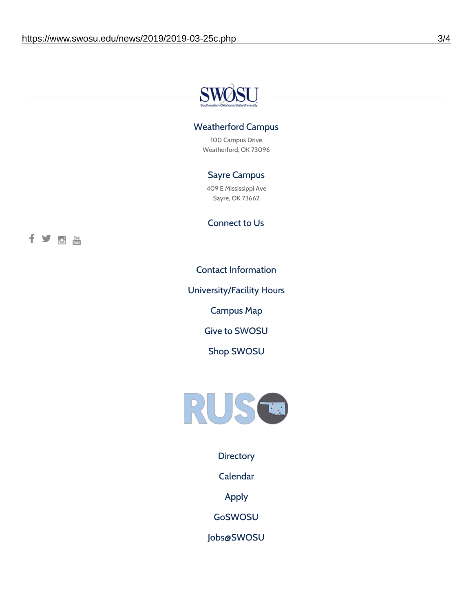

## Weatherford Campus

100 Campus Drive Weatherford, OK 73096

# Sayre Campus

409 E Mississippi Ave Sayre, OK 73662

fyothe

Connect to Us

Contact [Information](https://www.swosu.edu/about/contact.php)

[University/Facility](https://www.swosu.edu/about/operating-hours.php) Hours

[Campus](https://map.concept3d.com/?id=768#!ct/10964,10214,10213,10212,10205,10204,10203,10202,10136,10129,10128,0,31226,10130,10201,10641,0) Map

Give to [SWOSU](https://standingfirmly.com/donate)

Shop [SWOSU](https://shopswosu.merchorders.com/)



**[Directory](https://www.swosu.edu/directory/index.php)** 

[Calendar](https://eventpublisher.dudesolutions.com/swosu/)

[Apply](https://www.swosu.edu/admissions/apply-to-swosu.php)

[GoSWOSU](https://qlsso.quicklaunchsso.com/home/1267)

[Jobs@SWOSU](https://swosu.csod.com/ux/ats/careersite/1/home?c=swosu)